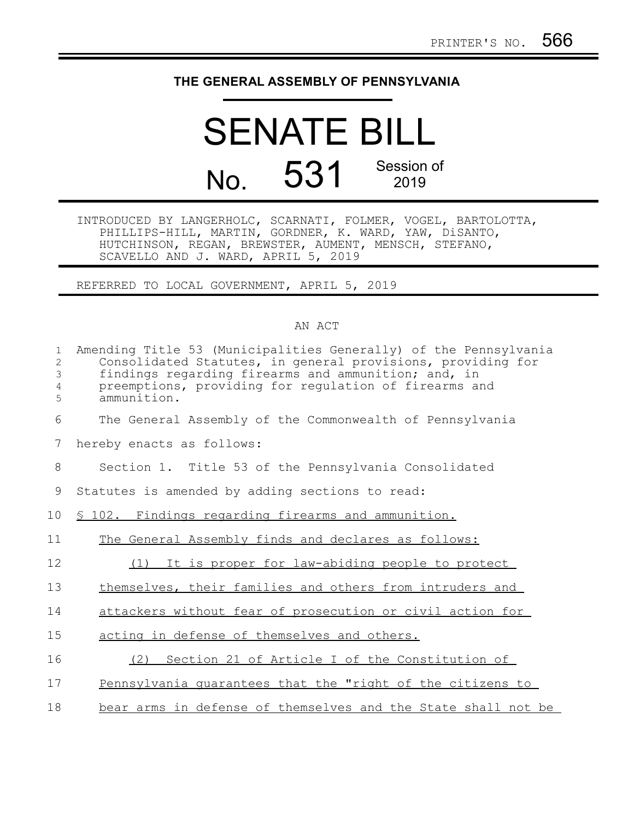## **THE GENERAL ASSEMBLY OF PENNSYLVANIA**

## SENATE BILL No. 531 Session of 2019

INTRODUCED BY LANGERHOLC, SCARNATI, FOLMER, VOGEL, BARTOLOTTA, PHILLIPS-HILL, MARTIN, GORDNER, K. WARD, YAW, DiSANTO, HUTCHINSON, REGAN, BREWSTER, AUMENT, MENSCH, STEFANO, SCAVELLO AND J. WARD, APRIL 5, 2019

REFERRED TO LOCAL GOVERNMENT, APRIL 5, 2019

## AN ACT

| 1<br>2<br>3<br>4<br>5 | Amending Title 53 (Municipalities Generally) of the Pennsylvania<br>Consolidated Statutes, in general provisions, providing for<br>findings regarding firearms and ammunition; and, in<br>preemptions, providing for regulation of firearms and<br>ammunition. |
|-----------------------|----------------------------------------------------------------------------------------------------------------------------------------------------------------------------------------------------------------------------------------------------------------|
| 6                     | The General Assembly of the Commonwealth of Pennsylvania                                                                                                                                                                                                       |
| 7                     | hereby enacts as follows:                                                                                                                                                                                                                                      |
| 8                     | Section 1. Title 53 of the Pennsylvania Consolidated                                                                                                                                                                                                           |
| 9                     | Statutes is amended by adding sections to read:                                                                                                                                                                                                                |
| 10                    | § 102. Findings regarding firearms and ammunition.                                                                                                                                                                                                             |
| 11                    | The General Assembly finds and declares as follows:                                                                                                                                                                                                            |
| 12                    | It is proper for law-abiding people to protect<br>(1)                                                                                                                                                                                                          |
| 13                    | themselves, their families and others from intruders and                                                                                                                                                                                                       |
| 14                    | attackers without fear of prosecution or civil action for                                                                                                                                                                                                      |
| 15                    | acting in defense of themselves and others.                                                                                                                                                                                                                    |
| 16                    | Section 21 of Article I of the Constitution of<br>(2)                                                                                                                                                                                                          |
| 17                    | Pennsylvania quarantees that the "right of the citizens to                                                                                                                                                                                                     |
| 18                    | bear arms in defense of themselves and the State shall not be                                                                                                                                                                                                  |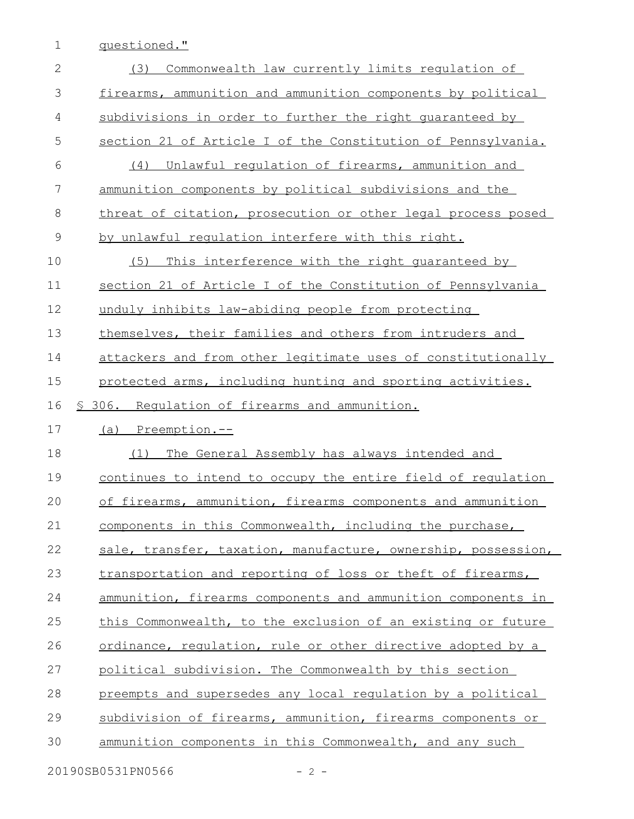1 questioned."

| Commonwealth law currently limits regulation of<br>(3)        |
|---------------------------------------------------------------|
| firearms, ammunition and ammunition components by political   |
| subdivisions in order to further the right quaranteed by      |
| section 21 of Article I of the Constitution of Pennsylvania.  |
| (4)<br>Unlawful regulation of firearms, ammunition and        |
| ammunition components by political subdivisions and the       |
| threat of citation, prosecution or other legal process posed  |
| by unlawful requlation interfere with this right.             |
| This interference with the right quaranteed by<br>(5)         |
| section 21 of Article I of the Constitution of Pennsylvania   |
| unduly inhibits law-abiding people from protecting            |
| themselves, their families and others from intruders and      |
| attackers and from other legitimate uses of constitutionally  |
| protected arms, including hunting and sporting activities.    |
| § 306. Requlation of firearms and ammunition.                 |
| (a) Preemption.--                                             |
| The General Assembly has always intended and<br>(1)           |
| continues to intend to occupy the entire field of requlation  |
| of firearms, ammunition, firearms components and ammunition   |
| components in this Commonwealth, including the purchase,      |
| sale, transfer, taxation, manufacture, ownership, possession, |
| transportation and reporting of loss or theft of firearms,    |
| ammunition, firearms components and ammunition components in  |
| this Commonwealth, to the exclusion of an existing or future  |
| ordinance, requlation, rule or other directive adopted by a   |
| political subdivision. The Commonwealth by this section       |
| preempts and supersedes any local requlation by a political   |
| subdivision of firearms, ammunition, firearms components or   |
| ammunition components in this Commonwealth, and any such      |
|                                                               |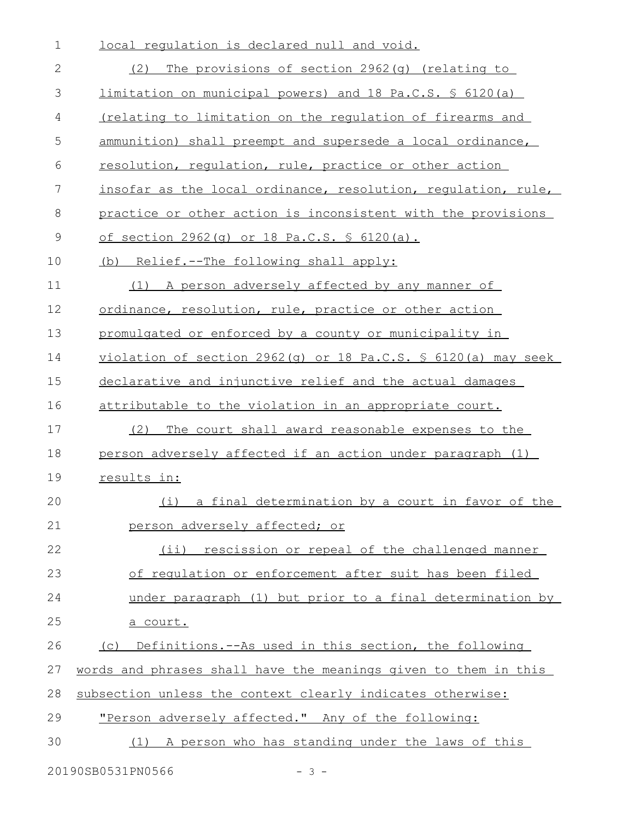| $\mathbf 1$ | local regulation is declared null and void.                      |
|-------------|------------------------------------------------------------------|
| 2           | The provisions of section 2962(q) (relating to<br>(2)            |
| 3           | limitation on municipal powers) and 18 Pa.C.S. § 6120(a)         |
| 4           | <u>(relating to limitation on the regulation of firearms and</u> |
| 5           | ammunition) shall preempt and supersede a local ordinance,       |
| 6           | resolution, regulation, rule, practice or other action           |
| 7           | insofar as the local ordinance, resolution, requlation, rule,    |
| 8           | practice or other action is inconsistent with the provisions     |
| $\mathsf 9$ | of section 2962(q) or 18 Pa.C.S. § 6120(a).                      |
| 10          | (b) Relief.--The following shall apply:                          |
| 11          | (1) A person adversely affected by any manner of                 |
| 12          | ordinance, resolution, rule, practice or other action            |
| 13          | promulgated or enforced by a county or municipality in           |
| 14          | $violation of section 2962(q) or 18 Pa.C.S. $6120(a) may seek$   |
| 15          | declarative and injunctive relief and the actual damages         |
| 16          | attributable to the violation in an appropriate court.           |
| 17          | (2)<br>The court shall award reasonable expenses to the          |
| 18          | person adversely affected if an action under paragraph (1)       |
| 19          | results in:                                                      |
| 20          | (i) a final determination by a court in favor of the             |
| 21          | person adversely affected; or                                    |
| 22          | (ii) rescission or repeal of the challenged manner               |
| 23          | of regulation or enforcement after suit has been filed           |
| 24          | under paragraph (1) but prior to a final determination by        |
| 25          | a court.                                                         |
| 26          | (c) Definitions.--As used in this section, the following         |
| 27          | words and phrases shall have the meanings given to them in this  |
| 28          | subsection unless the context clearly indicates otherwise:       |
| 29          | "Person adversely affected." Any of the following:               |
| 30          | A person who has standing under the laws of this<br>(1)          |
|             |                                                                  |

20190SB0531PN0566 - 3 -